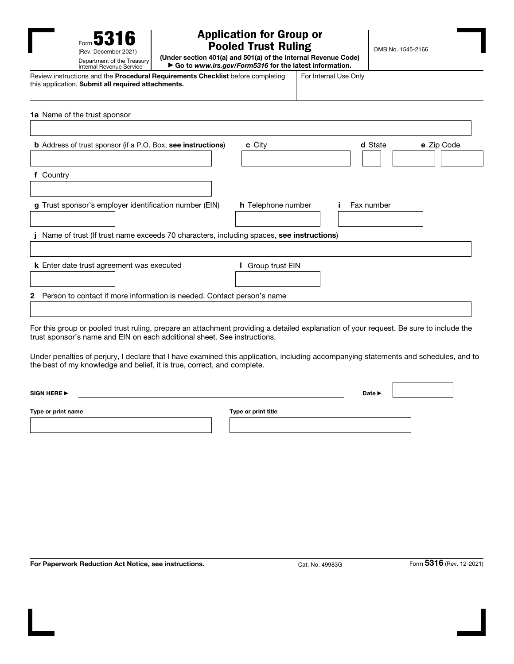

## Application for Group or Pooled Trust Ruling

OMB No. 1545-2166

(Under section 401(a) and 501(a) of the Internal Revenue Code) ▶ Go to *www.irs.gov/Form5316* for the latest information.

Review instructions and the Procedural Requirements Checklist before completing this application. Submit all required attachments. For Internal Use Only 1a Name of the trust sponsor

| c City<br>e Zip Code<br><b>b</b> Address of trust sponsor (if a P.O. Box, see instructions)<br>d State<br>f Country<br>Fax number<br>g Trust sponsor's employer identification number (EIN)<br><b>h</b> Telephone number<br>Name of trust (If trust name exceeds 70 characters, including spaces, see instructions)<br>Group trust EIN<br>k Enter date trust agreement was executed<br>Person to contact if more information is needed. Contact person's name<br>2<br>For this group or pooled trust ruling, prepare an attachment providing a detailed explanation of your request. Be sure to include the<br>trust sponsor's name and EIN on each additional sheet. See instructions.<br>Under penalties of perjury, I declare that I have examined this application, including accompanying statements and schedules, and to<br>the best of my knowledge and belief, it is true, correct, and complete.<br>SIGN HERE<br>Date $\blacktriangleright$ |  |  |
|-------------------------------------------------------------------------------------------------------------------------------------------------------------------------------------------------------------------------------------------------------------------------------------------------------------------------------------------------------------------------------------------------------------------------------------------------------------------------------------------------------------------------------------------------------------------------------------------------------------------------------------------------------------------------------------------------------------------------------------------------------------------------------------------------------------------------------------------------------------------------------------------------------------------------------------------------------|--|--|
|                                                                                                                                                                                                                                                                                                                                                                                                                                                                                                                                                                                                                                                                                                                                                                                                                                                                                                                                                       |  |  |
|                                                                                                                                                                                                                                                                                                                                                                                                                                                                                                                                                                                                                                                                                                                                                                                                                                                                                                                                                       |  |  |
|                                                                                                                                                                                                                                                                                                                                                                                                                                                                                                                                                                                                                                                                                                                                                                                                                                                                                                                                                       |  |  |
|                                                                                                                                                                                                                                                                                                                                                                                                                                                                                                                                                                                                                                                                                                                                                                                                                                                                                                                                                       |  |  |
|                                                                                                                                                                                                                                                                                                                                                                                                                                                                                                                                                                                                                                                                                                                                                                                                                                                                                                                                                       |  |  |
|                                                                                                                                                                                                                                                                                                                                                                                                                                                                                                                                                                                                                                                                                                                                                                                                                                                                                                                                                       |  |  |
|                                                                                                                                                                                                                                                                                                                                                                                                                                                                                                                                                                                                                                                                                                                                                                                                                                                                                                                                                       |  |  |
|                                                                                                                                                                                                                                                                                                                                                                                                                                                                                                                                                                                                                                                                                                                                                                                                                                                                                                                                                       |  |  |
|                                                                                                                                                                                                                                                                                                                                                                                                                                                                                                                                                                                                                                                                                                                                                                                                                                                                                                                                                       |  |  |
|                                                                                                                                                                                                                                                                                                                                                                                                                                                                                                                                                                                                                                                                                                                                                                                                                                                                                                                                                       |  |  |
|                                                                                                                                                                                                                                                                                                                                                                                                                                                                                                                                                                                                                                                                                                                                                                                                                                                                                                                                                       |  |  |
|                                                                                                                                                                                                                                                                                                                                                                                                                                                                                                                                                                                                                                                                                                                                                                                                                                                                                                                                                       |  |  |
|                                                                                                                                                                                                                                                                                                                                                                                                                                                                                                                                                                                                                                                                                                                                                                                                                                                                                                                                                       |  |  |
|                                                                                                                                                                                                                                                                                                                                                                                                                                                                                                                                                                                                                                                                                                                                                                                                                                                                                                                                                       |  |  |
| Type or print name<br>Type or print title                                                                                                                                                                                                                                                                                                                                                                                                                                                                                                                                                                                                                                                                                                                                                                                                                                                                                                             |  |  |

For Paperwork Reduction Act Notice, see instructions. Cat. No. 49983G Form 5316 (Rev. 12-2021)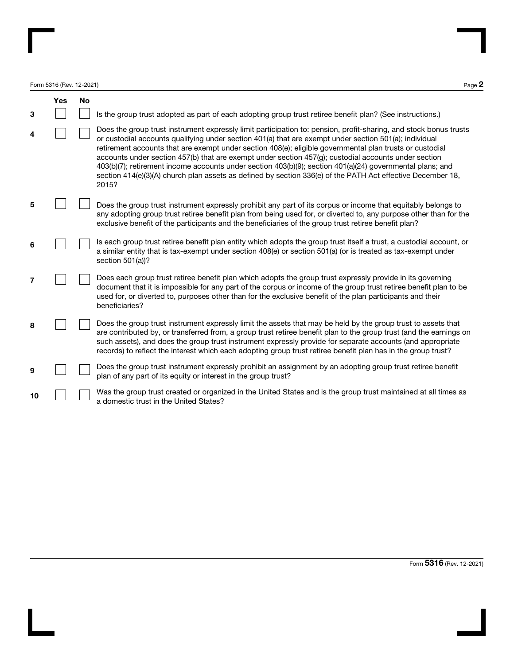Form 5316 (Rev. 12-2021)  $P_{\text{age}} 2$ 

|    | <b>Yes</b> | No |                                                                                                                                                                                                                                                                                                                                                                                                                                                                                                                                                                                                                                                                                      |
|----|------------|----|--------------------------------------------------------------------------------------------------------------------------------------------------------------------------------------------------------------------------------------------------------------------------------------------------------------------------------------------------------------------------------------------------------------------------------------------------------------------------------------------------------------------------------------------------------------------------------------------------------------------------------------------------------------------------------------|
| 3  |            |    | Is the group trust adopted as part of each adopting group trust retiree benefit plan? (See instructions.)                                                                                                                                                                                                                                                                                                                                                                                                                                                                                                                                                                            |
| 4  |            |    | Does the group trust instrument expressly limit participation to: pension, profit-sharing, and stock bonus trusts<br>or custodial accounts qualifying under section 401(a) that are exempt under section 501(a); individual<br>retirement accounts that are exempt under section 408(e); eligible governmental plan trusts or custodial<br>accounts under section 457(b) that are exempt under section 457(g); custodial accounts under section<br>403(b)(7); retirement income accounts under section 403(b)(9); section 401(a)(24) governmental plans; and<br>section 414(e)(3)(A) church plan assets as defined by section 336(e) of the PATH Act effective December 18,<br>2015? |
| 5  |            |    | Does the group trust instrument expressly prohibit any part of its corpus or income that equitably belongs to<br>any adopting group trust retiree benefit plan from being used for, or diverted to, any purpose other than for the<br>exclusive benefit of the participants and the beneficiaries of the group trust retiree benefit plan?                                                                                                                                                                                                                                                                                                                                           |
| 6  |            |    | Is each group trust retiree benefit plan entity which adopts the group trust itself a trust, a custodial account, or<br>a similar entity that is tax-exempt under section 408(e) or section 501(a) (or is treated as tax-exempt under<br>section $501(a)$ ?                                                                                                                                                                                                                                                                                                                                                                                                                          |
| 7  |            |    | Does each group trust retiree benefit plan which adopts the group trust expressly provide in its governing<br>document that it is impossible for any part of the corpus or income of the group trust retiree benefit plan to be<br>used for, or diverted to, purposes other than for the exclusive benefit of the plan participants and their<br>beneficiaries?                                                                                                                                                                                                                                                                                                                      |
| 8  |            |    | Does the group trust instrument expressly limit the assets that may be held by the group trust to assets that<br>are contributed by, or transferred from, a group trust retiree benefit plan to the group trust (and the earnings on<br>such assets), and does the group trust instrument expressly provide for separate accounts (and appropriate<br>records) to reflect the interest which each adopting group trust retiree benefit plan has in the group trust?                                                                                                                                                                                                                  |
| 9  |            |    | Does the group trust instrument expressly prohibit an assignment by an adopting group trust retiree benefit<br>plan of any part of its equity or interest in the group trust?                                                                                                                                                                                                                                                                                                                                                                                                                                                                                                        |
| 10 |            |    | Was the group trust created or organized in the United States and is the group trust maintained at all times as<br>a domestic trust in the United States?                                                                                                                                                                                                                                                                                                                                                                                                                                                                                                                            |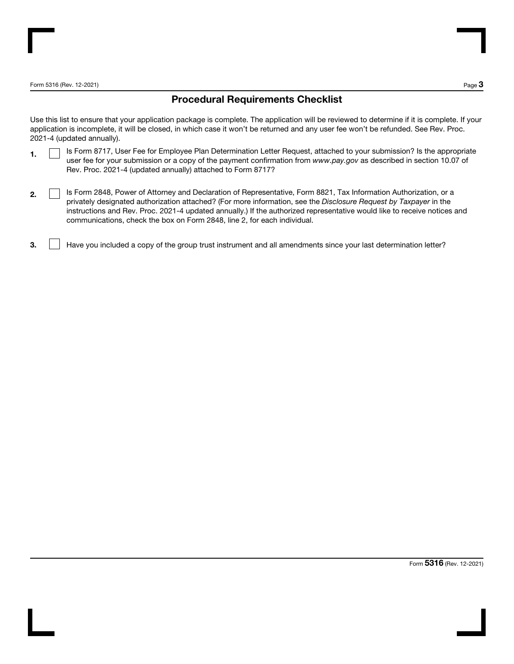Form 5316 (Rev. 12-2021) Page 3

### Procedural Requirements Checklist

Use this list to ensure that your application package is complete. The application will be reviewed to determine if it is complete. If your application is incomplete, it will be closed, in which case it won't be returned and any user fee won't be refunded. See Rev. Proc. 2021-4 (updated annually).

- 1. **In Italy 1.** Is Form 8717, User Fee for Employee Plan Determination Letter Request, attached to your submission? Is the appropriate user fee for your submission or a copy of the payment confirmation from *www.pay.gov* as described in section 10.07 of Rev. Proc. 2021-4 (updated annually) attached to Form 8717?
- 2. **IS Form 2848, Power of Attorney and Declaration of Representative, Form 8821, Tax Information Authorization, or a** privately designated authorization attached? (For more information, see the *Disclosure Request by Taxpayer* in the instructions and Rev. Proc. 2021-4 updated annually.) If the authorized representative would like to receive notices and communications, check the box on Form 2848, line 2, for each individual.
- 3. Have you included a copy of the group trust instrument and all amendments since your last determination letter?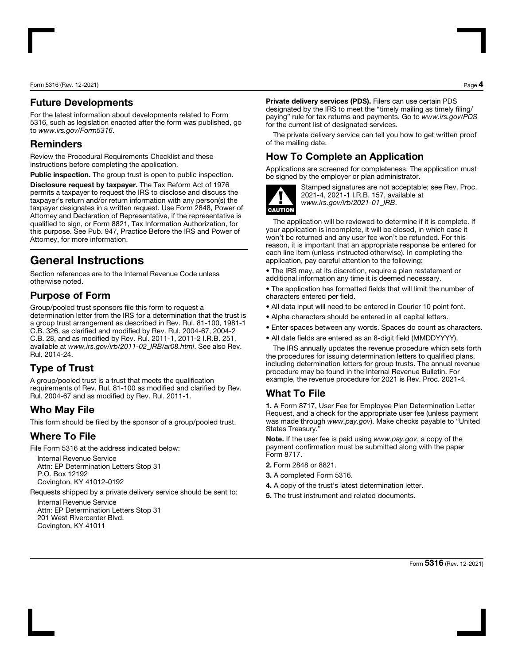Form 5316 (Rev. 12-2021) Page 4

#### Future Developments

For the latest information about developments related to Form 5316, such as legislation enacted after the form was published, go to *www.irs.gov/Form5316*.

#### Reminders

Review the Procedural Requirements Checklist and these instructions before completing the application.

Public inspection. The group trust is open to public inspection.

Disclosure request by taxpayer. The Tax Reform Act of 1976 permits a taxpayer to request the IRS to disclose and discuss the taxpayer's return and/or return information with any person(s) the taxpayer designates in a written request. Use Form 2848, Power of Attorney and Declaration of Representative, if the representative is qualified to sign, or Form 8821, Tax Information Authorization, for this purpose. See Pub. 947, Practice Before the IRS and Power of Attorney, for more information.

# General Instructions

Section references are to the Internal Revenue Code unless otherwise noted.

## Purpose of Form

Group/pooled trust sponsors file this form to request a determination letter from the IRS for a determination that the trust is a group trust arrangement as described in Rev. Rul. 81-100, 1981-1 C.B. 326, as clarified and modified by Rev. Rul. 2004-67, 2004-2 C.B. 28, and as modified by Rev. Rul. 2011-1, 2011-2 I.R.B. 251, available at *www.irs.gov/irb/2011-02\_IRB/ar08.html*. See also Rev. Rul. 2014-24.

# Type of Trust

A group/pooled trust is a trust that meets the qualification requirements of Rev. Rul. 81-100 as modified and clarified by Rev. Rul. 2004-67 and as modified by Rev. Rul. 2011-1.

## Who May File

This form should be filed by the sponsor of a group/pooled trust.

## Where To File

File Form 5316 at the address indicated below:

Internal Revenue Service Attn: EP Determination Letters Stop 31 P.O. Box 12192 Covington, KY 41012-0192

Requests shipped by a private delivery service should be sent to:

Internal Revenue Service Attn: EP Determination Letters Stop 31 201 West Rivercenter Blvd. Covington, KY 41011

Private delivery services (PDS). Filers can use certain PDS designated by the IRS to meet the "timely mailing as timely filing/ paying" rule for tax returns and payments. Go to *www.irs.gov/PDS* for the current list of designated services.

The private delivery service can tell you how to get written proof of the mailing date.

## How To Complete an Application

Applications are screened for completeness. The application must be signed by the employer or plan administrator.



Stamped signatures are not acceptable; see Rev. Proc. 2021-4, 2021-1 I.R.B. 157, available at *www.irs.gov/irb/2021-01\_IRB*.

The application will be reviewed to determine if it is complete. If your application is incomplete, it will be closed, in which case it won't be returned and any user fee won't be refunded. For this reason, it is important that an appropriate response be entered for each line item (unless instructed otherwise). In completing the application, pay careful attention to the following:

• The IRS may, at its discretion, require a plan restatement or additional information any time it is deemed necessary.

• The application has formatted fields that will limit the number of characters entered per field.

- All data input will need to be entered in Courier 10 point font.
- Alpha characters should be entered in all capital letters.
- Enter spaces between any words. Spaces do count as characters.
- All date fields are entered as an 8-digit field (MMDDYYYY).

The IRS annually updates the revenue procedure which sets forth the procedures for issuing determination letters to qualified plans, including determination letters for group trusts. The annual revenue procedure may be found in the Internal Revenue Bulletin. For example, the revenue procedure for 2021 is Rev. Proc. 2021-4*.*

### What To File

1. A Form 8717, User Fee for Employee Plan Determination Letter Request, and a check for the appropriate user fee (unless payment was made through *www.pay.gov*). Make checks payable to "United States Treasury.

Note. If the user fee is paid using *www.pay.gov*, a copy of the payment confirmation must be submitted along with the paper Form 8717.

- 2. Form 2848 or 8821.
- 3. A completed Form 5316.
- 4. A copy of the trust's latest determination letter.
- 5. The trust instrument and related documents.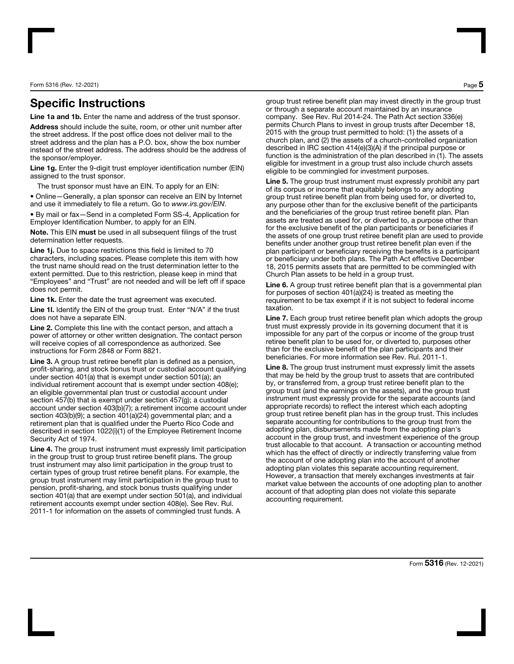Form 5316 (Rev. 12-2021) Page 5

## Specific Instructions

Line 1a and 1b. Enter the name and address of the trust sponsor.

Address should include the suite, room, or other unit number after the street address. If the post office does not deliver mail to the street address and the plan has a P.O. box, show the box number instead of the street address. The address should be the address of the sponsor/employer.

Line 1g. Enter the 9-digit trust employer identification number (EIN) assigned to the trust sponsor.

The trust sponsor must have an EIN. To apply for an EIN:

• Online—Generally, a plan sponsor can receive an EIN by Internet and use it immediately to file a return. Go to *www.irs.gov/EIN*.

• By mail or fax—Send in a completed Form SS-4, Application for Employer Identification Number, to apply for an EIN.

Note. This EIN must be used in all subsequent filings of the trust determination letter requests.

Line 1j. Due to space restrictions this field is limited to 70 characters, including spaces. Please complete this item with how the trust name should read on the trust determination letter to the extent permitted. Due to this restriction, please keep in mind that "Employees" and "Trust" are not needed and will be left off if space does not permit.

Line 1k. Enter the date the trust agreement was executed.

Line 1I. Identify the EIN of the group trust. Enter "N/A" if the trust does not have a separate EIN.

Line 2. Complete this line with the contact person, and attach a power of attorney or other written designation. The contact person will receive copies of all correspondence as authorized. See instructions for Form 2848 or Form 8821.

Line 3. A group trust retiree benefit plan is defined as a pension, profit-sharing, and stock bonus trust or custodial account qualifying under section 401(a) that is exempt under section 501(a); an individual retirement account that is exempt under section 408(e); an eligible governmental plan trust or custodial account under section 457(b) that is exempt under section 457(g); a custodial account under section 403(b)(7); a retirement income account under section 403(b)(9); a section 401(a)(24) governmental plan; and a retirement plan that is qualified under the Puerto Rico Code and described in section 1022(i)(1) of the Employee Retirement Income Security Act of 1974.

Line 4. The group trust instrument must expressly limit participation in the group trust to group trust retiree benefit plans. The group trust instrument may also limit participation in the group trust to certain types of group trust retiree benefit plans. For example, the group trust instrument may limit participation in the group trust to pension, profit-sharing, and stock bonus trusts qualifying under section 401(a) that are exempt under section 501(a), and individual retirement accounts exempt under section 408(e). See Rev. Rul. 2011-1 for information on the assets of commingled trust funds. A

group trust retiree benefit plan may invest directly in the group trust or through a separate account maintained by an insurance company. See Rev. Rul 2014-24. The Path Act section 336(e) permits Church Plans to invest in group trusts after December 18, 2015 with the group trust permitted to hold: (1) the assets of a church plan, and (2) the assets of a church-controlled organization described in IRC section 414(e)(3)(A) if the principal purpose or function is the administration of the plan described in (1). The assets eligible for investment in a group trust also include church assets eligible to be commingled for investment purposes.

Line 5. The group trust instrument must expressly prohibit any part of its corpus or income that equitably belongs to any adopting group trust retiree benefit plan from being used for, or diverted to, any purpose other than for the exclusive benefit of the participants and the beneficiaries of the group trust retiree benefit plan. Plan assets are treated as used for, or diverted to, a purpose other than for the exclusive benefit of the plan participants or beneficiaries if the assets of one group trust retiree benefit plan are used to provide benefits under another group trust retiree benefit plan even if the plan participant or beneficiary receiving the benefits is a participant or beneficiary under both plans. The Path Act effective December 18, 2015 permits assets that are permitted to be commingled with Church Plan assets to be held in a group trust.

Line 6. A group trust retiree benefit plan that is a governmental plan for purposes of section 401(a)(24) is treated as meeting the requirement to be tax exempt if it is not subject to federal income taxation.

Line 7. Each group trust retiree benefit plan which adopts the group trust must expressly provide in its governing document that it is impossible for any part of the corpus or income of the group trust retiree benefit plan to be used for, or diverted to, purposes other than for the exclusive benefit of the plan participants and their beneficiaries. For more information see Rev. Rul. 2011-1.

Line 8. The group trust instrument must expressly limit the assets that may be held by the group trust to assets that are contributed by, or transferred from, a group trust retiree benefit plan to the group trust (and the earnings on the assets), and the group trust instrument must expressly provide for the separate accounts (and appropriate records) to reflect the interest which each adopting group trust retiree benefit plan has in the group trust. This includes separate accounting for contributions to the group trust from the adopting plan, disbursements made from the adopting plan's account in the group trust, and investment experience of the group trust allocable to that account. A transaction or accounting method which has the effect of directly or indirectly transferring value from the account of one adopting plan into the account of another adopting plan violates this separate accounting requirement. However, a transaction that merely exchanges investments at fair market value between the accounts of one adopting plan to another account of that adopting plan does not violate this separate accounting requirement.